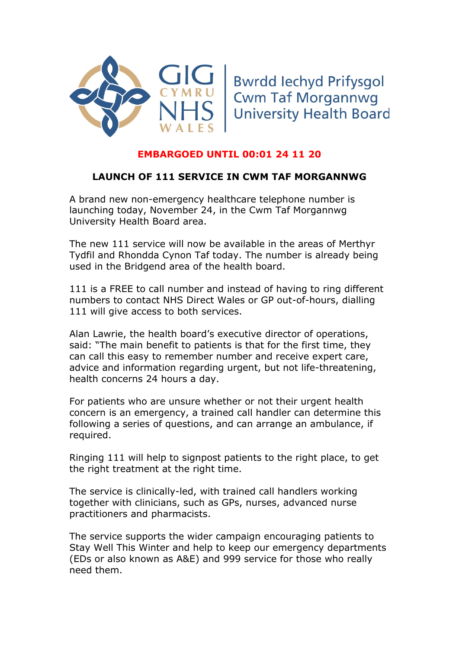



## **EMBARGOED UNTIL 00:01 24 11 20**

## **LAUNCH OF 111 SERVICE IN CWM TAF MORGANNWG**

A brand new non-emergency healthcare telephone number is launching today, November 24, in the Cwm Taf Morgannwg University Health Board area.

The new 111 service will now be available in the areas of Merthyr Tydfil and Rhondda Cynon Taf today. The number is already being used in the Bridgend area of the health board.

111 is a FREE to call number and instead of having to ring different numbers to contact NHS Direct Wales or GP out-of-hours, dialling 111 will give access to both services.

Alan Lawrie, the health board's executive director of operations, said: "The main benefit to patients is that for the first time, they can call this easy to remember number and receive expert care, advice and information regarding urgent, but not life-threatening, health concerns 24 hours a day.

For patients who are unsure whether or not their urgent health concern is an emergency, a trained call handler can determine this following a series of questions, and can arrange an ambulance, if required.

Ringing 111 will help to signpost patients to the right place, to get the right treatment at the right time.

The service is clinically-led, with trained call handlers working together with clinicians, such as GPs, nurses, advanced nurse practitioners and pharmacists.

The service supports the wider campaign encouraging patients to Stay Well This Winter and help to keep our emergency departments (EDs or also known as A&E) and 999 service for those who really need them.